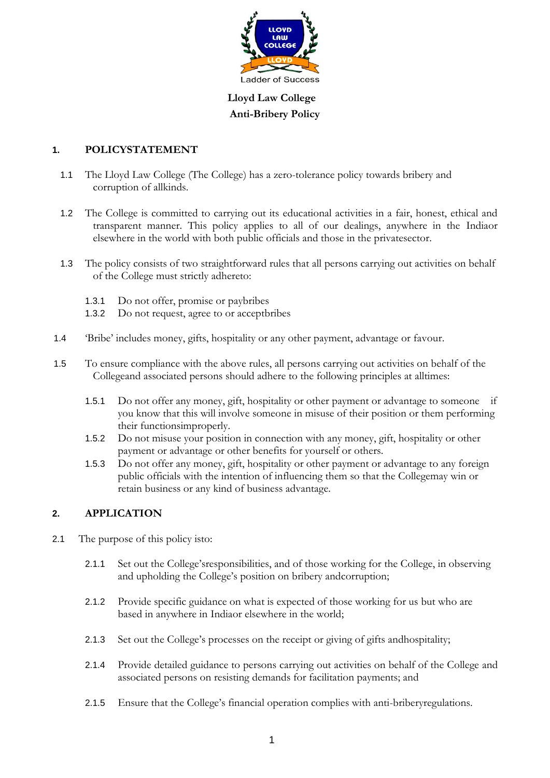

**Lloyd Law College Anti-Bribery Policy**

# **1. POLICYSTATEMENT**

- 1.1 The Lloyd Law College (The College) has a zero-tolerance policy towards bribery and corruption of allkinds.
- 1.2 The College is committed to carrying out its educational activities in a fair, honest, ethical and transparent manner. This policy applies to all of our dealings, anywhere in the Indiaor elsewhere in the world with both public officials and those in the privatesector.
- 1.3 The policy consists of two straightforward rules that all persons carrying out activities on behalf of the College must strictly adhereto:
	- 1.3.1 Do not offer, promise or paybribes
	- 1.3.2 Do not request, agree to or acceptbribes
- 1.4 'Bribe' includes money, gifts, hospitality or any other payment, advantage or favour.
- 1.5 To ensure compliance with the above rules, all persons carrying out activities on behalf of the Collegeand associated persons should adhere to the following principles at alltimes:
	- 1.5.1 Do not offer any money, gift, hospitality or other payment or advantage to someone if you know that this will involve someone in misuse of their position or them performing their functionsimproperly.
	- 1.5.2 Do not misuse your position in connection with any money, gift, hospitality or other payment or advantage or other benefits for yourself or others.
	- 1.5.3 Do not offer any money, gift, hospitality or other payment or advantage to any foreign public officials with the intention of influencing them so that the Collegemay win or retain business or any kind of business advantage.

### **2. APPLICATION**

- 2.1 The purpose of this policy isto:
	- 2.1.1 Set out the College'sresponsibilities, and of those working for the College, in observing and upholding the College's position on bribery andcorruption;
	- 2.1.2 Provide specific guidance on what is expected of those working for us but who are based in anywhere in Indiaor elsewhere in the world;
	- 2.1.3 Set out the College's processes on the receipt or giving of gifts andhospitality;
	- 2.1.4 Provide detailed guidance to persons carrying out activities on behalf of the College and associated persons on resisting demands for facilitation payments; and
	- 2.1.5 Ensure that the College's financial operation complies with anti-briberyregulations.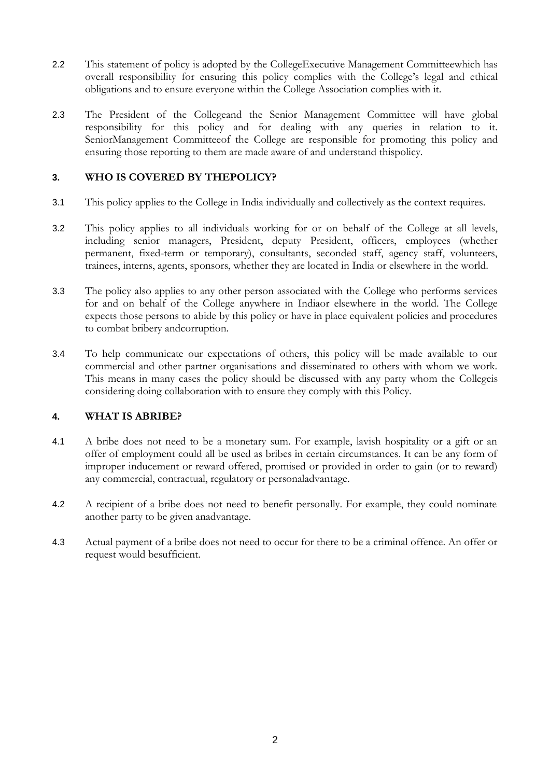- 2.2 This statement of policy is adopted by the CollegeExecutive Management Committeewhich has overall responsibility for ensuring this policy complies with the College's legal and ethical obligations and to ensure everyone within the College Association complies with it.
- 2.3 The President of the Collegeand the Senior Management Committee will have global responsibility for this policy and for dealing with any queries in relation to it. SeniorManagement Committeeof the College are responsible for promoting this policy and ensuring those reporting to them are made aware of and understand thispolicy.

## **3. WHO IS COVERED BY THEPOLICY?**

- 3.1 This policy applies to the College in India individually and collectively as the context requires.
- 3.2 This policy applies to all individuals working for or on behalf of the College at all levels, including senior managers, President, deputy President, officers, employees (whether permanent, fixed-term or temporary), consultants, seconded staff, agency staff, volunteers, trainees, interns, agents, sponsors, whether they are located in India or elsewhere in the world.
- 3.3 The policy also applies to any other person associated with the College who performs services for and on behalf of the College anywhere in Indiaor elsewhere in the world. The College expects those persons to abide by this policy or have in place equivalent policies and procedures to combat bribery andcorruption.
- 3.4 To help communicate our expectations of others, this policy will be made available to our commercial and other partner organisations and disseminated to others with whom we work. This means in many cases the policy should be discussed with any party whom the Collegeis considering doing collaboration with to ensure they comply with this Policy.

# **4. WHAT IS ABRIBE?**

- 4.1 A bribe does not need to be a monetary sum. For example, lavish hospitality or a gift or an offer of employment could all be used as bribes in certain circumstances. It can be any form of improper inducement or reward offered, promised or provided in order to gain (or to reward) any commercial, contractual, regulatory or personaladvantage.
- 4.2 A recipient of a bribe does not need to benefit personally. For example, they could nominate another party to be given anadvantage.
- 4.3 Actual payment of a bribe does not need to occur for there to be a criminal offence. An offer or request would besufficient.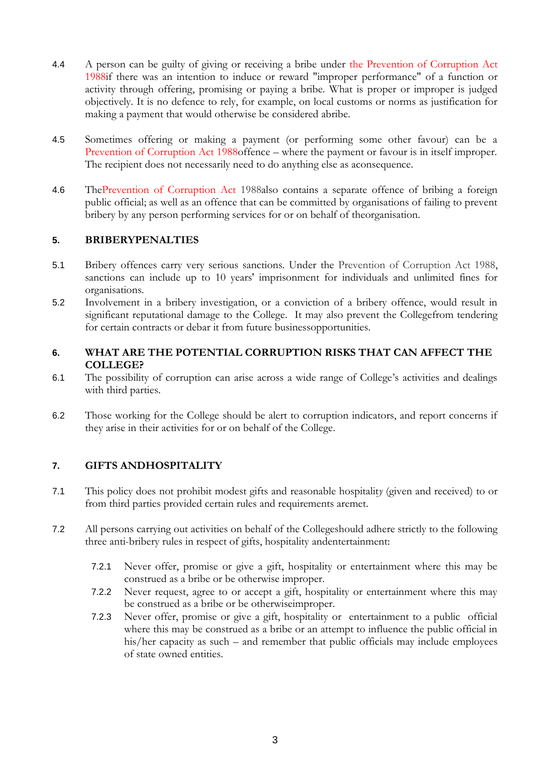- 4.4 A person can be guilty of giving or receiving a bribe under the Prevention of Corruption Act 1988if there was an intention to induce or reward "improper performance" of a function or activity through offering, promising or paying a bribe. What is proper or improper is judged objectively. It is no defence to rely, for example, on local customs or norms as justification for making a payment that would otherwise be considered abribe.
- 4.5 Sometimes offering or making a payment (or performing some other favour) can be a Prevention of Corruption Act 1988offence – where the payment or favour is in itself improper. The recipient does not necessarily need to do anything else as aconsequence.
- 4.6 ThePrevention of Corruption Act 1988also contains a separate offence of bribing a foreign public official; as well as an offence that can be committed by organisations of failing to prevent bribery by any person performing services for or on behalf of theorganisation.

### **5. BRIBERYPENALTIES**

- 5.1 Bribery offences carry very serious sanctions. Under the Prevention of Corruption Act 1988, sanctions can include up to 10 years' imprisonment for individuals and unlimited fines for organisations.
- 5.2 Involvement in a bribery investigation, or a conviction of a bribery offence, would result in significant reputational damage to the College. It may also prevent the Collegefrom tendering for certain contracts or debar it from future businessopportunities.

### **6. WHAT ARE THE POTENTIAL CORRUPTION RISKS THAT CAN AFFECT THE COLLEGE?**

- 6.1 The possibility of corruption can arise across a wide range of College's activities and dealings with third parties.
- 6.2 Those working for the College should be alert to corruption indicators, and report concerns if they arise in their activities for or on behalf of the College.

# **7. GIFTS ANDHOSPITALITY**

- 7.1 This policy does not prohibit modest gifts and reasonable hospitalit*y* (given and received) to or from third parties provided certain rules and requirements aremet.
- 7.2 All persons carrying out activities on behalf of the Collegeshould adhere strictly to the following three anti-bribery rules in respect of gifts, hospitality andentertainment:
	- 7.2.1 Never offer, promise or give a gift, hospitality or entertainment where this may be construed as a bribe or be otherwise improper.
	- 7.2.2 Never request, agree to or accept a gift, hospitality or entertainment where this may be construed as a bribe or be otherwiseimproper.
	- 7.2.3 Never offer, promise or give a gift, hospitality or entertainment to a public official where this may be construed as a bribe or an attempt to influence the public official in his/her capacity as such – and remember that public officials may include employees of state owned entities.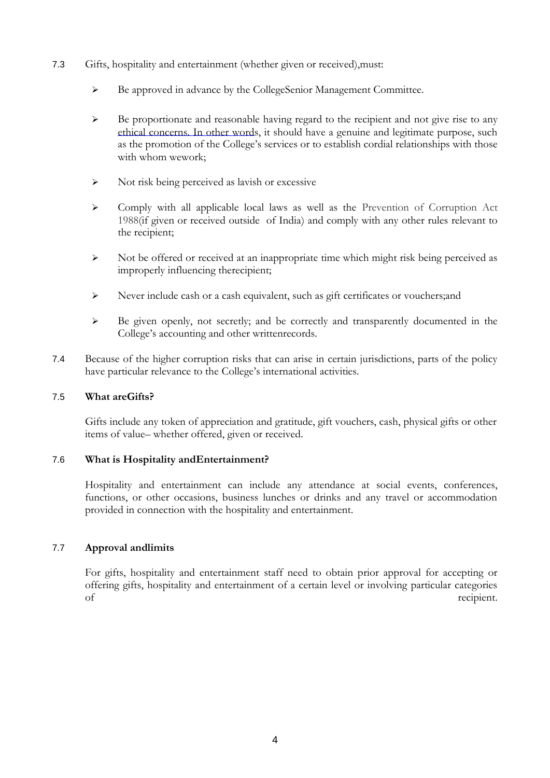- 7.3 Gifts, hospitality and entertainment (whether given or received),must:
	- Be approved in advance by the CollegeSenior Management Committee.
	- $\triangleright$  Be proportionate and reasonable having regard to the recipient and not give rise to any ethical concerns. In other words, it should have a genuine and legitimate purpose, such as the promotion of the College's services or to establish cordial relationships with those with whom wework;
	- $\triangleright$  Not risk being perceived as lavish or excessive
	- $\triangleright$  Comply with all applicable local laws as well as the Prevention of Corruption Act 1988(if given or received outside of India) and comply with any other rules relevant to the recipient;
	- $\triangleright$  Not be offered or received at an inappropriate time which might risk being perceived as improperly influencing therecipient;
	- Never include cash or a cash equivalent, such as gift certificates or vouchers;and
	- Be given openly, not secretly; and be correctly and transparently documented in the College's accounting and other writtenrecords.
- 7.4 Because of the higher corruption risks that can arise in certain jurisdictions, parts of the policy have particular relevance to the College's international activities.

### 7.5 **What areGifts?**

Gifts include any token of appreciation and gratitude, gift vouchers, cash, physical gifts or other items of value– whether offered, given or received.

### 7.6 **What is Hospitality andEntertainment?**

Hospitality and entertainment can include any attendance at social events, conferences, functions, or other occasions, business lunches or drinks and any travel or accommodation provided in connection with the hospitality and entertainment.

### 7.7 **Approval andlimits**

For gifts, hospitality and entertainment staff need to obtain prior approval for accepting or offering gifts, hospitality and entertainment of a certain level or involving particular categories of recipient.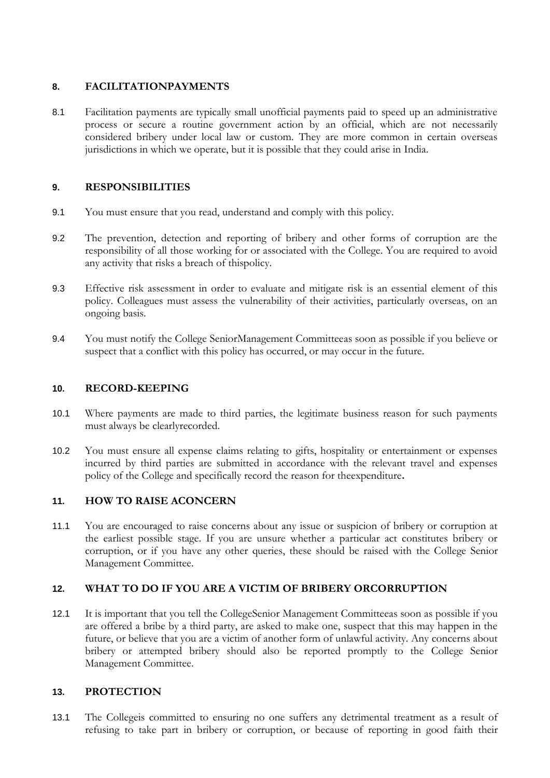## **8. FACILITATIONPAYMENTS**

8.1 Facilitation payments are typically small unofficial payments paid to speed up an administrative process or secure a routine government action by an official, which are not necessarily considered bribery under local law or custom. They are more common in certain overseas jurisdictions in which we operate, but it is possible that they could arise in India.

### **9. RESPONSIBILITIES**

- 9.1 You must ensure that you read, understand and comply with this policy.
- 9.2 The prevention, detection and reporting of bribery and other forms of corruption are the responsibility of all those working for or associated with the College. You are required to avoid any activity that risks a breach of thispolicy.
- 9.3 Effective risk assessment in order to evaluate and mitigate risk is an essential element of this policy. Colleagues must assess the vulnerability of their activities, particularly overseas, on an ongoing basis.
- 9.4 You must notify the College SeniorManagement Committeeas soon as possible if you believe or suspect that a conflict with this policy has occurred, or may occur in the future.

#### **10. RECORD-KEEPING**

- 10.1 Where payments are made to third parties, the legitimate business reason for such payments must always be clearlyrecorded.
- 10.2 You must ensure all expense claims relating to gifts, hospitality or entertainment or expenses incurred by third parties are submitted in accordance with the relevant travel and expenses policy of the College and specifically record the reason for theexpenditure**.**

### **11. HOW TO RAISE ACONCERN**

11.1 You are encouraged to raise concerns about any issue or suspicion of bribery or corruption at the earliest possible stage. If you are unsure whether a particular act constitutes bribery or corruption, or if you have any other queries, these should be raised with the College Senior Management Committee.

# **12. WHAT TO DO IF YOU ARE A VICTIM OF BRIBERY ORCORRUPTION**

12.1 It is important that you tell the CollegeSenior Management Committeeas soon as possible if you are offered a bribe by a third party, are asked to make one, suspect that this may happen in the future, or believe that you are a victim of another form of unlawful activity. Any concerns about bribery or attempted bribery should also be reported promptly to the College Senior Management Committee.

### **13. PROTECTION**

13.1 The Collegeis committed to ensuring no one suffers any detrimental treatment as a result of refusing to take part in bribery or corruption, or because of reporting in good faith their